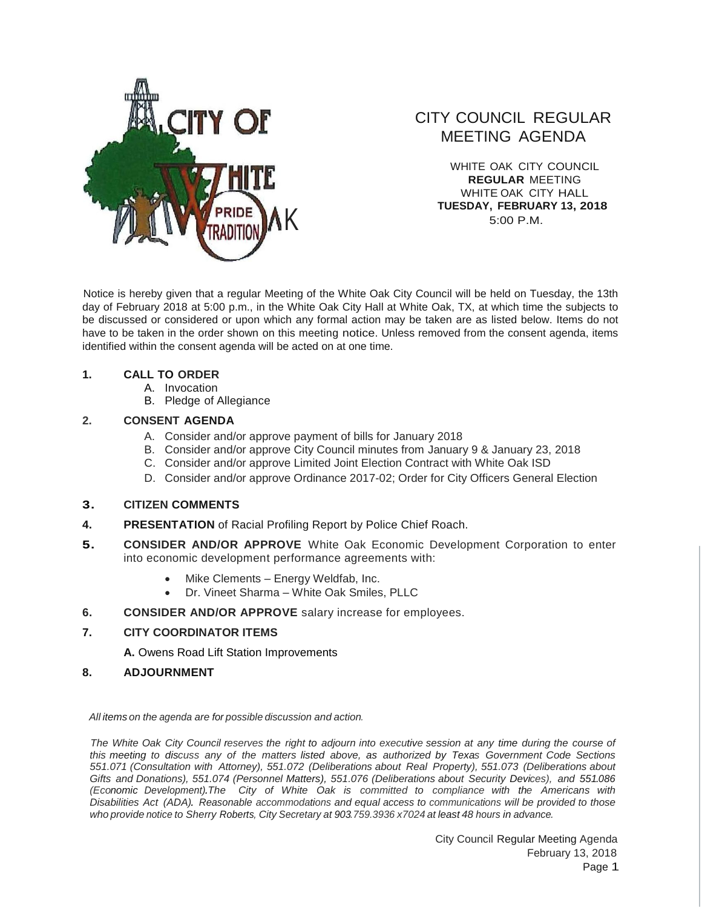

# CITY COUNCIL REGULAR MEETING AGENDA

WHITE OAK CITY COUNCIL **REGULAR** MEETING WHITE OAK CITY HALL **TUESDAY, FEBRUARY 13, 2018** 5:00 P.M.

Notice is hereby given that a regular Meeting of the White Oak City Council will be held on Tuesday, the 13th day of February 2018 at 5:00 p.m., in the White Oak City Hall at White Oak, TX, at which time the subjects to be discussed or considered or upon which any formal action may be taken are as listed below. Items do not have to be taken in the order shown on this meeting notice. Unless removed from the consent agenda, items identified within the consent agenda will be acted on at one time.

## **1. CALL TO ORDER**

- A. Invocation
- B. Pledge of Allegiance

## **2. CONSENT AGENDA**

- A. Consider and/or approve payment of bills for January 2018
- B. Consider and/or approve City Council minutes from January 9 & January 23, 2018
- C. Consider and/or approve Limited Joint Election Contract with White Oak ISD
- D. Consider and/or approve Ordinance 2017-02; Order for City Officers General Election

#### **3. CITIZEN COMMENTS**

- **4. PRESENTATION** of Racial Profiling Report by Police Chief Roach.
- **5. CONSIDER AND/OR APPROVE** White Oak Economic Development Corporation to enter into economic development performance agreements with:
	- Mike Clements Energy Weldfab, Inc.
	- Dr. Vineet Sharma White Oak Smiles, PLLC
- **6. CONSIDER AND/OR APPROVE** salary increase for employees.

## **7. CITY COORDINATOR ITEMS**

**A.** Owens Road Lift Station Improvements

**8. ADJOURNMENT**

*All items on the agenda are for possible discussion and action.*

The White Oak City Council reserves the right to adjourn into executive session at any time during the course of *this meeting to discuss any of the matters listed above, as authorized by Texas Government Code Sections 551.071 (Consultation with Attorney), 551.072 (Deliberations about Real Property), 551.073 (Deliberations about Gifts and Donations), 551.074 (Personnel Matters), 551.076 (Deliberations about Security Devices), and 551.086 (Economic Development).The City of White Oak is committed to compliance with the Americans with Disabilities Act (ADA). Reasonable accommodations and equal access to communications will be provided to those who provide notice to Sherry Roberts, City Secretary at 903.759.3936 x7024 at least 48 hours in advance.*